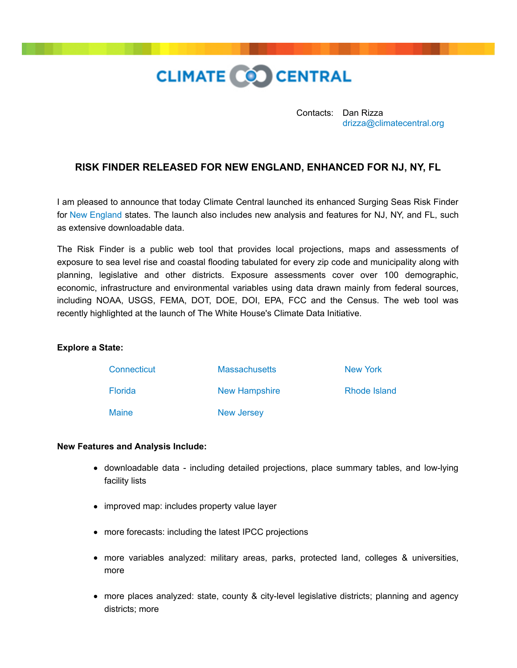

Contacts: Dan Rizza [drizza@climatecentral.org](mailto:drizza@climatecentral.org)

## **RISK FINDER RELEASED FOR NEW ENGLAND, ENHANCED FOR NJ, NY, FL**

I am pleased to announce that today Climate Central launched its enhanced Surging Seas Risk Finder for [New England](http://www.climatecentral.org/wgts/filetracker.php?file2dl=PressRelease-NewEnglandSSRF.pdf) states. The launch also includes new analysis and features for NJ, NY, and FL, such as extensive downloadable data.

The Risk Finder is a public web tool that provides local projections, maps and assessments of exposure to sea level rise and coastal flooding tabulated for every zip code and municipality along with planning, legislative and other districts. Exposure assessments cover over 100 demographic, economic, infrastructure and environmental variables using data drawn mainly from federal sources, including NOAA, USGS, FEMA, DOT, DOE, DOI, EPA, FCC and the Census. The web tool was recently highlighted at the launch of The White House's Climate Data Initiative.

## **Explore a State:**

| Connecticut    | <b>Massachusetts</b> | New York     |
|----------------|----------------------|--------------|
| <b>Florida</b> | New Hampshire        | Rhode Island |
| <b>Maine</b>   | New Jersey           |              |

## **New Features and Analysis Include:**

- downloadable data including detailed projections, place summary tables, and low-lying facility lists
- improved map: includes property value layer
- more forecasts: including the latest IPCC projections
- more variables analyzed: military areas, parks, protected land, colleges & universities, more
- more places analyzed: state, county & city-level legislative districts; planning and agency districts; more